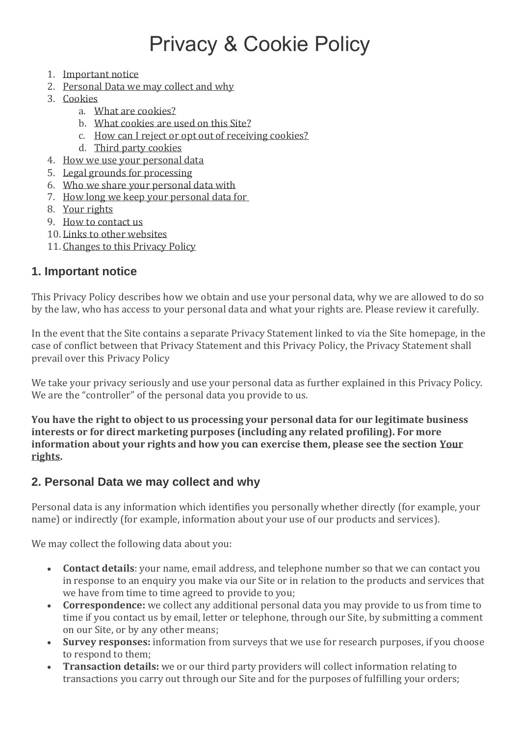# Privacy & Cookie Policy

- 1. [Important notice](https://business.yell.com/websites-privacy-cookie-policy/#important-notice)
- 2. [Personal Data we may collect and why](https://business.yell.com/websites-privacy-cookie-policy/#personal-data)
- 3. [Cookies](https://business.yell.com/websites-privacy-cookie-policy/#cookies)
	- a. [What are cookies?](https://business.yell.com/websites-privacy-cookie-policy/#what-are-cookies)
	- b. [What cookies are used on this Site?](https://business.yell.com/websites-privacy-cookie-policy/#what-cookies-used)
	- c. [How can I reject or opt out of receiving cookies?](https://business.yell.com/websites-privacy-cookie-policy/#opt-out)
	- d. [Third party cookies](https://business.yell.com/websites-privacy-cookie-policy/#third-party)
- 4. [How we use your personal data](https://business.yell.com/websites-privacy-cookie-policy/#how-we-use-personal-data)
- 5. [Legal grounds for processing](https://business.yell.com/websites-privacy-cookie-policy/#legal-grounds)
- 6. [Who we share your personal data with](https://business.yell.com/websites-privacy-cookie-policy/#share-personal)
- 7. [How long we keep your personal data for](https://business.yell.com/websites-privacy-cookie-policy/#long-personal-data)
- 8. [Your rights](https://business.yell.com/websites-privacy-cookie-policy/#your-rights)
- 9. [How to contact us](https://business.yell.com/websites-privacy-cookie-policy/#contact-us)
- 10. [Links to other websites](https://business.yell.com/websites-privacy-cookie-policy/#links-to-other-sites)
- 11. [Changes to this Privacy Policy](https://business.yell.com/websites-privacy-cookie-policy/#changes-privacy)

## **1. Important notice**

This Privacy Policy describes how we obtain and use your personal data, why we are allowed to do so by the law, who has access to your personal data and what your rights are. Please review it carefully.

In the event that the Site contains a separate Privacy Statement linked to via the Site homepage, in the case of conflict between that Privacy Statement and this Privacy Policy, the Privacy Statement shall prevail over this Privacy Policy

We take your privacy seriously and use your personal data as further explained in this Privacy Policy. We are the "controller" of the personal data you provide to us.

**You have the right to object to us processing your personal data for our legitimate business interests or for direct marketing purposes (including any related profiling). For more information about your rights and how you can exercise them, please see the section Your rights.**

## **2. Personal Data we may collect and why**

Personal data is any information which identifies you personally whether directly (for example, your name) or indirectly (for example, information about your use of our products and services).

We may collect the following data about you:

- **Contact details**: your name, email address, and telephone number so that we can contact you in response to an enquiry you make via our Site or in relation to the products and services that we have from time to time agreed to provide to you;
- **Correspondence:** we collect any additional personal data you may provide to us from time to time if you contact us by email, letter or telephone, through our Site, by submitting a comment on our Site, or by any other means;
- **Survey responses:** information from surveys that we use for research purposes, if you choose to respond to them;
- **Transaction details:** we or our third party providers will collect information relating to transactions you carry out through our Site and for the purposes of fulfilling your orders;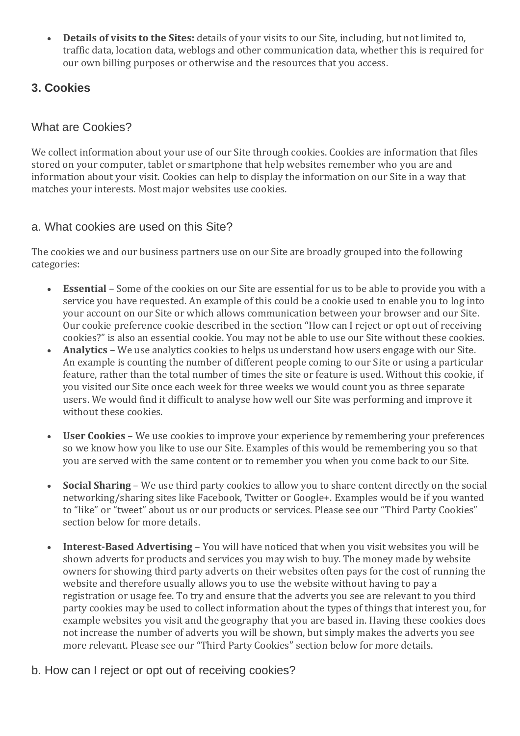• **Details of visits to the Sites:** details of your visits to our Site, including, but not limited to, traffic data, location data, weblogs and other communication data, whether this is required for our own billing purposes or otherwise and the resources that you access.

# **3. Cookies**

# What are Cookies?

We collect information about your use of our Site through cookies. Cookies are information that files stored on your computer, tablet or smartphone that help websites remember who you are and information about your visit. Cookies can help to display the information on our Site in a way that matches your interests. Most major websites use cookies.

# a. What cookies are used on this Site?

The cookies we and our business partners use on our Site are broadly grouped into the following categories:

- **Essential** Some of the cookies on our Site are essential for us to be able to provide you with a service you have requested. An example of this could be a cookie used to enable you to log into your account on our Site or which allows communication between your browser and our Site. Our cookie preference cookie described in the section "How can I reject or opt out of receiving cookies?" is also an essential cookie. You may not be able to use our Site without these cookies.
- **Analytics** We use analytics cookies to helps us understand how users engage with our Site. An example is counting the number of different people coming to our Site or using a particular feature, rather than the total number of times the site or feature is used. Without this cookie, if you visited our Site once each week for three weeks we would count you as three separate users. We would find it difficult to analyse how well our Site was performing and improve it without these cookies.
- **User Cookies** We use cookies to improve your experience by remembering your preferences so we know how you like to use our Site. Examples of this would be remembering you so that you are served with the same content or to remember you when you come back to our Site.
- **Social Sharing** We use third party cookies to allow you to share content directly on the social networking/sharing sites like Facebook, Twitter or Google+. Examples would be if you wanted to "like" or "tweet" about us or our products or services. Please see our "Third Party Cookies" section below for more details.
- **Interest-Based Advertising** You will have noticed that when you visit websites you will be shown adverts for products and services you may wish to buy. The money made by website owners for showing third party adverts on their websites often pays for the cost of running the website and therefore usually allows you to use the website without having to pay a registration or usage fee. To try and ensure that the adverts you see are relevant to you third party cookies may be used to collect information about the types of things that interest you, for example websites you visit and the geography that you are based in. Having these cookies does not increase the number of adverts you will be shown, but simply makes the adverts you see more relevant. Please see our "Third Party Cookies" section below for more details.

## b. How can I reject or opt out of receiving cookies?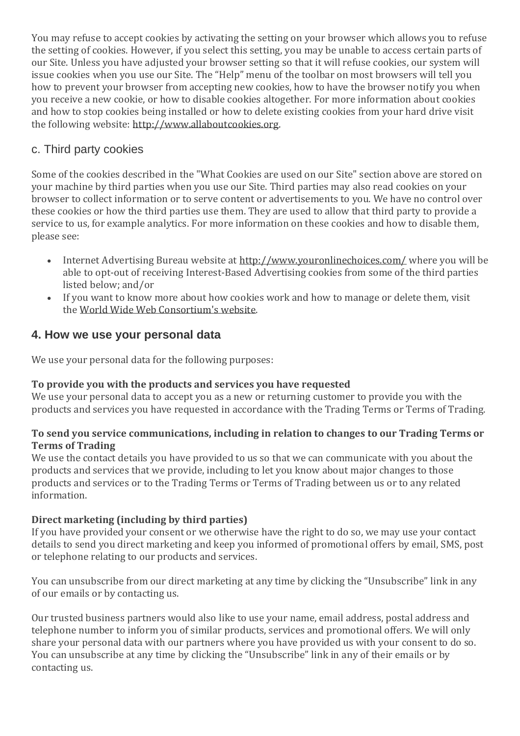You may refuse to accept cookies by activating the setting on your browser which allows you to refuse the setting of cookies. However, if you select this setting, you may be unable to access certain parts of our Site. Unless you have adjusted your browser setting so that it will refuse cookies, our system will issue cookies when you use our Site. The "Help" menu of the toolbar on most browsers will tell you how to prevent your browser from accepting new cookies, how to have the browser notify you when you receive a new cookie, or how to disable cookies altogether. For more information about cookies and how to stop cookies being installed or how to delete existing cookies from your hard drive visit the following website: [http://www.allaboutcookies.org.](http://www.allaboutcookies.org/)

# c. Third party cookies

Some of the cookies described in the "What Cookies are used on our Site" section above are stored on your machine by third parties when you use our Site. Third parties may also read cookies on your browser to collect information or to serve content or advertisements to you. We have no control over these cookies or how the third parties use them. They are used to allow that third party to provide a service to us, for example analytics. For more information on these cookies and how to disable them, please see:

- Internet Advertising Bureau website at <http://www.youronlinechoices.com/> where you will be able to opt-out of receiving Interest-Based Advertising cookies from some of the third parties listed below; and/or
- If you want to know more about how cookies work and how to manage or delete them, visit the [World Wide Web Consortium's website.](http://www.w3.org/Security/Faq/wwwsf2.html#CLT-Q10.)

# **4. How we use your personal data**

We use your personal data for the following purposes:

## **To provide you with the products and services you have requested**

We use your personal data to accept you as a new or returning customer to provide you with the products and services you have requested in accordance with the Trading Terms or Terms of Trading.

#### **To send you service communications, including in relation to changes to our Trading Terms or Terms of Trading**

We use the contact details you have provided to us so that we can communicate with you about the products and services that we provide, including to let you know about major changes to those products and services or to the Trading Terms or Terms of Trading between us or to any related information.

## **Direct marketing (including by third parties)**

If you have provided your consent or we otherwise have the right to do so, we may use your contact details to send you direct marketing and keep you informed of promotional offers by email, SMS, post or telephone relating to our products and services.

You can unsubscribe from our direct marketing at any time by clicking the "Unsubscribe" link in any of our emails or by contacting us.

Our trusted business partners would also like to use your name, email address, postal address and telephone number to inform you of similar products, services and promotional offers. We will only share your personal data with our partners where you have provided us with your consent to do so. You can unsubscribe at any time by clicking the "Unsubscribe" link in any of their emails or by contacting us.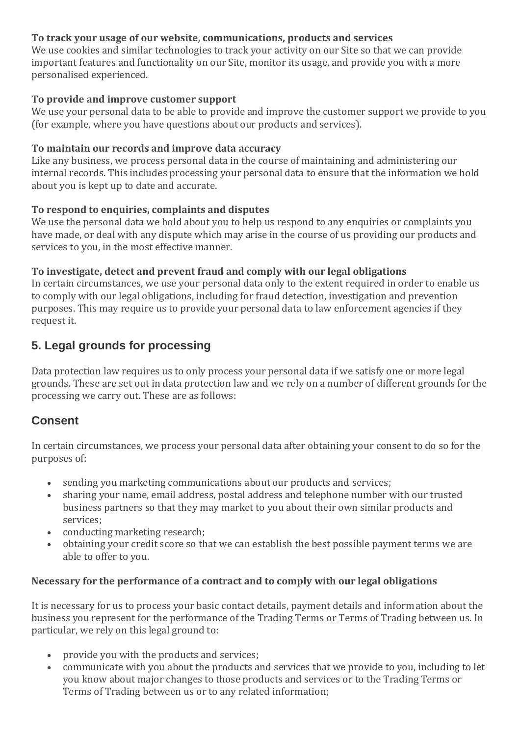#### **To track your usage of our website, communications, products and services**

We use cookies and similar technologies to track your activity on our Site so that we can provide important features and functionality on our Site, monitor its usage, and provide you with a more personalised experienced.

#### **To provide and improve customer support**

We use your personal data to be able to provide and improve the customer support we provide to you (for example, where you have questions about our products and services).

#### **To maintain our records and improve data accuracy**

Like any business, we process personal data in the course of maintaining and administering our internal records. This includes processing your personal data to ensure that the information we hold about you is kept up to date and accurate.

#### **To respond to enquiries, complaints and disputes**

We use the personal data we hold about you to help us respond to any enquiries or complaints you have made, or deal with any dispute which may arise in the course of us providing our products and services to you, in the most effective manner.

#### **To investigate, detect and prevent fraud and comply with our legal obligations**

In certain circumstances, we use your personal data only to the extent required in order to enable us to comply with our legal obligations, including for fraud detection, investigation and prevention purposes. This may require us to provide your personal data to law enforcement agencies if they request it.

# **5. Legal grounds for processing**

Data protection law requires us to only process your personal data if we satisfy one or more legal grounds. These are set out in data protection law and we rely on a number of different grounds for the processing we carry out. These are as follows:

# **Consent**

In certain circumstances, we process your personal data after obtaining your consent to do so for the purposes of:

- sending you marketing communications about our products and services;
- sharing your name, email address, postal address and telephone number with our trusted business partners so that they may market to you about their own similar products and services;
- conducting marketing research:
- obtaining your credit score so that we can establish the best possible payment terms we are able to offer to you.

#### **Necessary for the performance of a contract and to comply with our legal obligations**

It is necessary for us to process your basic contact details, payment details and information about the business you represent for the performance of the Trading Terms or Terms of Trading between us. In particular, we rely on this legal ground to:

- provide you with the products and services;
- communicate with you about the products and services that we provide to you, including to let you know about major changes to those products and services or to the Trading Terms or Terms of Trading between us or to any related information;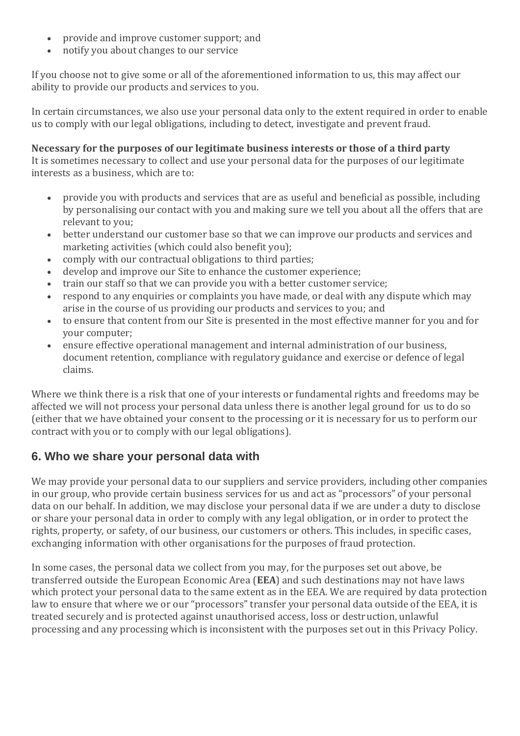- provide and improve customer support; and
- notify you about changes to our service

If you choose not to give some or all of the aforementioned information to us, this may affect our ability to provide our products and services to you.

In certain circumstances, we also use your personal data only to the extent required in order to enable us to comply with our legal obligations, including to detect, investigate and prevent fraud.

#### **Necessary for the purposes of our legitimate business interests or those of a third party**

It is sometimes necessary to collect and use your personal data for the purposes of our legitimate interests as a business, which are to:

- provide you with products and services that are as useful and beneficial as possible, including by personalising our contact with you and making sure we tell you about all the offers that are relevant to you;
- better understand our customer base so that we can improve our products and services and marketing activities (which could also benefit you);
- comply with our contractual obligations to third parties;
- develop and improve our Site to enhance the customer experience;
- train our staff so that we can provide you with a better customer service;
- respond to any enquiries or complaints you have made, or deal with any dispute which may arise in the course of us providing our products and services to you; and
- to ensure that content from our Site is presented in the most effective manner for you and for your computer;
- ensure effective operational management and internal administration of our business, document retention, compliance with regulatory guidance and exercise or defence of legal claims.

Where we think there is a risk that one of your interests or fundamental rights and freedoms may be affected we will not process your personal data unless there is another legal ground for us to do so (either that we have obtained your consent to the processing or it is necessary for us to perform our contract with you or to comply with our legal obligations).

# **6. Who we share your personal data with**

We may provide your personal data to our suppliers and service providers, including other companies in our group, who provide certain business services for us and act as "processors" of your personal data on our behalf. In addition, we may disclose your personal data if we are under a duty to disclose or share your personal data in order to comply with any legal obligation, or in order to protect the rights, property, or safety, of our business, our customers or others. This includes, in specific cases, exchanging information with other organisations for the purposes of fraud protection.

In some cases, the personal data we collect from you may, for the purposes set out above, be transferred outside the European Economic Area (**EEA**) and such destinations may not have laws which protect your personal data to the same extent as in the EEA. We are required by data protection law to ensure that where we or our "processors" transfer your personal data outside of the EEA, it is treated securely and is protected against unauthorised access, loss or destruction, unlawful processing and any processing which is inconsistent with the purposes set out in this Privacy Policy.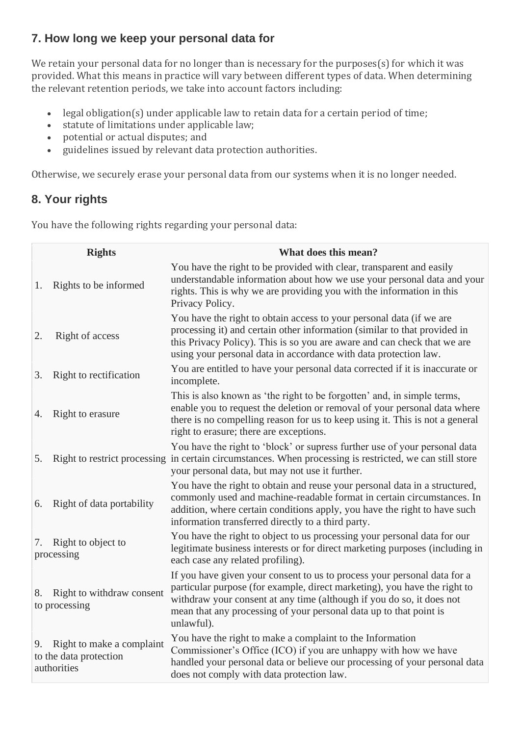# **7. How long we keep your personal data for**

We retain your personal data for no longer than is necessary for the purposes(s) for which it was provided. What this means in practice will vary between different types of data. When determining the relevant retention periods, we take into account factors including:

- legal obligation(s) under applicable law to retain data for a certain period of time;
- statute of limitations under applicable law;
- potential or actual disputes; and
- guidelines issued by relevant data protection authorities.

Otherwise, we securely erase your personal data from our systems when it is no longer needed.

# **8. Your rights**

You have the following rights regarding your personal data:

| <b>Rights</b>                                                            | What does this mean?                                                                                                                                                                                                                                                                                               |
|--------------------------------------------------------------------------|--------------------------------------------------------------------------------------------------------------------------------------------------------------------------------------------------------------------------------------------------------------------------------------------------------------------|
| Rights to be informed<br>1.                                              | You have the right to be provided with clear, transparent and easily<br>understandable information about how we use your personal data and your<br>rights. This is why we are providing you with the information in this<br>Privacy Policy.                                                                        |
| Right of access<br>2.                                                    | You have the right to obtain access to your personal data (if we are<br>processing it) and certain other information (similar to that provided in<br>this Privacy Policy). This is so you are aware and can check that we are<br>using your personal data in accordance with data protection law.                  |
| Right to rectification<br>3.                                             | You are entitled to have your personal data corrected if it is inaccurate or<br>incomplete.                                                                                                                                                                                                                        |
| Right to erasure<br>4.                                                   | This is also known as 'the right to be forgotten' and, in simple terms,<br>enable you to request the deletion or removal of your personal data where<br>there is no compelling reason for us to keep using it. This is not a general<br>right to erasure; there are exceptions.                                    |
| 5.                                                                       | You have the right to 'block' or supress further use of your personal data<br>Right to restrict processing in certain circumstances. When processing is restricted, we can still store<br>your personal data, but may not use it further.                                                                          |
| Right of data portability<br>6.                                          | You have the right to obtain and reuse your personal data in a structured,<br>commonly used and machine-readable format in certain circumstances. In<br>addition, where certain conditions apply, you have the right to have such<br>information transferred directly to a third party.                            |
| Right to object to<br>7.<br>processing                                   | You have the right to object to us processing your personal data for our<br>legitimate business interests or for direct marketing purposes (including in<br>each case any related profiling).                                                                                                                      |
| Right to withdraw consent<br>8.<br>to processing                         | If you have given your consent to us to process your personal data for a<br>particular purpose (for example, direct marketing), you have the right to<br>withdraw your consent at any time (although if you do so, it does not<br>mean that any processing of your personal data up to that point is<br>unlawful). |
| Right to make a complaint<br>9.<br>to the data protection<br>authorities | You have the right to make a complaint to the Information<br>Commissioner's Office (ICO) if you are unhappy with how we have<br>handled your personal data or believe our processing of your personal data<br>does not comply with data protection law.                                                            |